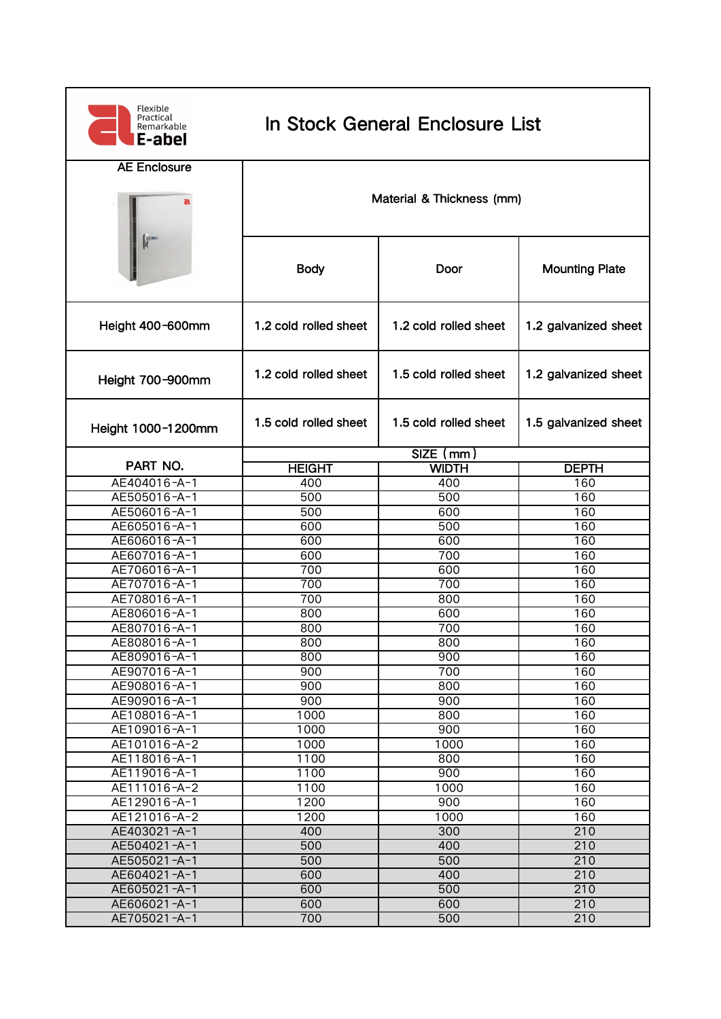| Flexible<br>Practical<br>Remarkable<br>E-abel | In Stock General Enclosure List |                       |                       |  |  |
|-----------------------------------------------|---------------------------------|-----------------------|-----------------------|--|--|
| <b>AE Enclosure</b>                           | Material & Thickness (mm)       |                       |                       |  |  |
|                                               | <b>Body</b>                     | Door                  | <b>Mounting Plate</b> |  |  |
| Height 400-600mm                              | 1.2 cold rolled sheet           | 1.2 cold rolled sheet | 1.2 galvanized sheet  |  |  |
| Height 700-900mm                              | 1.2 cold rolled sheet           | 1.5 cold rolled sheet | 1.2 galvanized sheet  |  |  |
| Height 1000-1200mm                            | 1.5 cold rolled sheet           | 1.5 cold rolled sheet | 1.5 galvanized sheet  |  |  |
| PART NO.                                      |                                 | $SIZE$ (mm)           |                       |  |  |
|                                               | <b>HEIGHT</b>                   | <b>WIDTH</b>          | <b>DEPTH</b>          |  |  |
| AE404016-A-1                                  | 400                             | 400                   | 160                   |  |  |
| AE505016-A-1                                  | 500<br>500                      | 500<br>600            | 160<br>160            |  |  |
| AE506016-A-1<br>AE605016-A-1                  | 600                             | 500                   | 160                   |  |  |
| AE606016-A-1                                  | 600                             | 600                   | 160                   |  |  |
| AE607016-A-1                                  | 600                             | 700                   | 160                   |  |  |
| AE706016-A-1                                  | 700                             | 600                   | 160                   |  |  |
| AE707016-A-1                                  | 700                             | 700                   | 160                   |  |  |
| AE708016-A-1                                  | 700                             | 800                   | 160                   |  |  |
| AE806016-A-1                                  | 800                             | 600                   | 160                   |  |  |
| AE807016-A-1                                  | 800                             | 700                   | 160                   |  |  |
| AE808016-A-1                                  | 800                             | 800                   | 160                   |  |  |
| AE809016-A-1                                  | 800                             | 900                   | 160                   |  |  |
| AE907016-A-1                                  | 900                             | 700                   | 160                   |  |  |
| AE908016-A-1                                  | 900                             | 800                   | 160                   |  |  |
| AE909016-A-1                                  | 900                             | 900                   | 160                   |  |  |
| AE108016-A-1                                  | 1000                            | 800                   | 160                   |  |  |
| AE109016-A-1                                  | 1000                            | 900                   | 160                   |  |  |
| AE101016-A-2                                  | 1000                            | 1000                  | 160                   |  |  |
| AE118016-A-1                                  | 1100                            | 800                   | 160                   |  |  |
| AE119016-A-1                                  | 1100                            | 900                   | 160                   |  |  |
| AE111016-A-2                                  | 1100                            | 1000                  | 160                   |  |  |
| AE129016-A-1                                  | 1200                            | 900                   | 160                   |  |  |
| AE121016-A-2                                  | 1200                            | 1000                  | 160                   |  |  |
| AE403021-A-1                                  | 400                             | 300                   | 210                   |  |  |
| AE504021-A-1                                  | 500                             | 400                   | 210                   |  |  |
| AE505021-A-1                                  | 500                             | 500                   | 210                   |  |  |
| AE604021-A-1                                  | 600                             | 400                   | 210                   |  |  |
| AE605021-A-1                                  | 600                             | 500                   | 210                   |  |  |
| AE606021-A-1                                  | 600                             | 600                   | 210                   |  |  |
| AE705021-A-1                                  | 700                             | 500                   | 210                   |  |  |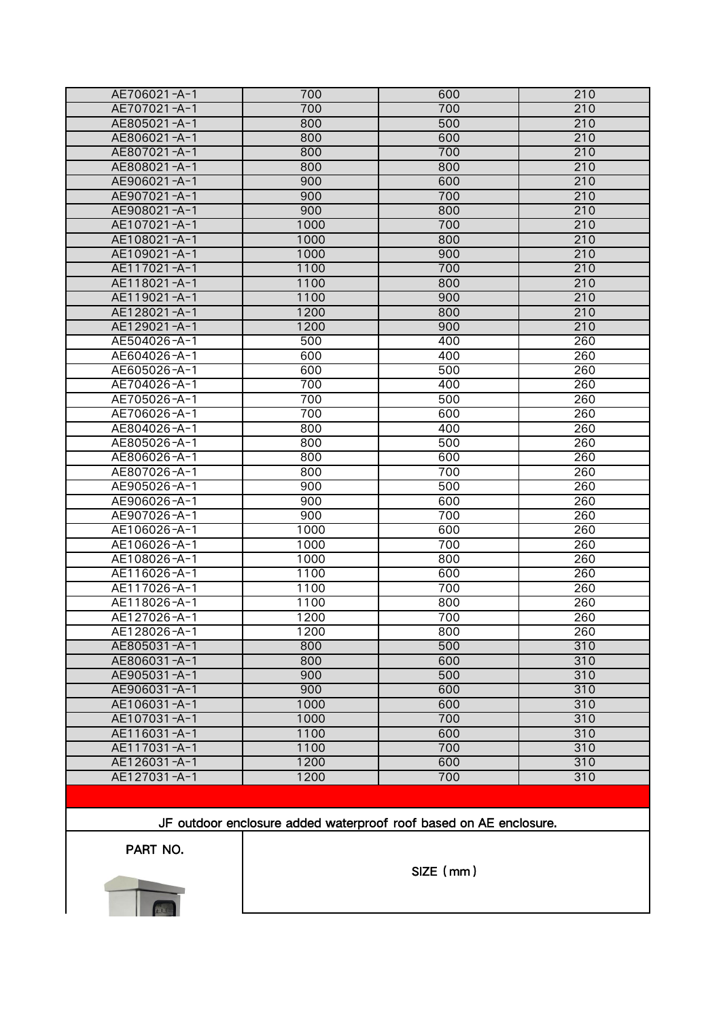| AE706021-A-1 | 700  | 600        | 210 |
|--------------|------|------------|-----|
| AE707021-A-1 | 700  | 700        | 210 |
| AE805021-A-1 | 800  | 500        | 210 |
| AE806021-A-1 | 800  | 600        | 210 |
| AE807021-A-1 | 800  | 700        | 210 |
| AE808021-A-1 | 800  | 800        | 210 |
| AE906021-A-1 | 900  | 600        | 210 |
| AE907021-A-1 | 900  | 700        | 210 |
| AE908021-A-1 | 900  | 800        | 210 |
| AE107021-A-1 | 1000 | 700        | 210 |
| AE108021-A-1 | 1000 | 800        | 210 |
| AE109021-A-1 | 1000 | 900        | 210 |
| AE117021-A-1 | 1100 | 700        | 210 |
| AE118021-A-1 | 1100 | 800        | 210 |
| AE119021-A-1 | 1100 | 900        | 210 |
| AE128021-A-1 | 1200 | 800        | 210 |
| AE129021-A-1 | 1200 | 900        | 210 |
| AE504026-A-1 | 500  | 400        | 260 |
| AE604026-A-1 | 600  | 400        | 260 |
| AE605026-A-1 | 600  | 500        | 260 |
| AE704026-A-1 | 700  | 400        | 260 |
| AE705026-A-1 | 700  | 500        | 260 |
| AE706026-A-1 | 700  | 600        | 260 |
| AE804026-A-1 | 800  | 400        | 260 |
| AE805026-A-1 | 800  | 500        | 260 |
| AE806026-A-1 | 800  | 600        | 260 |
| AE807026-A-1 | 800  | 700        | 260 |
| AE905026-A-1 | 900  | 500        | 260 |
| AE906026-A-1 | 900  | 600        | 260 |
| AE907026-A-1 | 900  | 700        | 260 |
| AE106026-A-1 | 1000 | 600        | 260 |
|              |      |            |     |
| AE106026-A-1 | 1000 | 700<br>800 | 260 |
| AE108026-A-1 | 1000 | 600        | 260 |
| AE116026-A-1 | 1100 | 700        | 260 |
| AE117026-A-1 | 1100 |            | 260 |
| AE118026-A-1 | 1100 | 800        | 260 |
| AE127026-A-1 | 1200 | 700        | 260 |
| AE128026-A-1 | 1200 | 800        | 260 |
| AE805031-A-1 | 800  | 500        | 310 |
| AE806031-A-1 | 800  | 600        | 310 |
| AE905031-A-1 | 900  | 500        | 310 |
| AE906031-A-1 | 900  | 600        | 310 |
| AE106031-A-1 | 1000 | 600        | 310 |
| AE107031-A-1 | 1000 | 700        | 310 |
| AE116031-A-1 | 1100 | 600        | 310 |
| AE117031-A-1 | 1100 | 700        | 310 |
| AE126031-A-1 | 1200 | 600        | 310 |
| AE127031-A-1 | 1200 | 700        | 310 |

JF outdoor enclosure added waterproof roof based on AE enclosure.

PART NO.



SIZE(mm)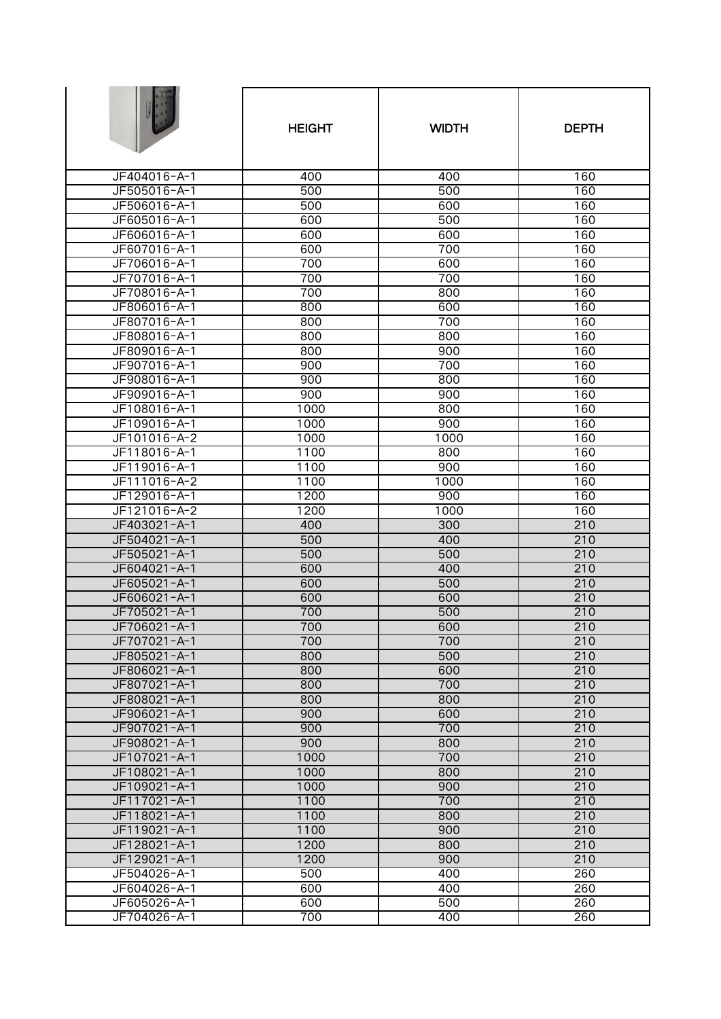|                              | <b>HEIGHT</b> | <b>WIDTH</b> | <b>DEPTH</b> |
|------------------------------|---------------|--------------|--------------|
| JF404016-A-1                 | 400           | 400          | 160          |
| JF505016-A-1                 | 500           | 500          | 160          |
| JF506016-A-1                 | 500           | 600          | 160          |
| JF605016-A-1                 | 600           | 500          | 160          |
| JF606016-A-1                 | 600           | 600          | 160          |
| JF607016-A-1                 | 600           | 700          | 160          |
| JF706016-A-1                 | 700           | 600          | 160          |
| JF707016-A-1                 | 700           | 700          | 160          |
| JF708016-A-1                 | 700           | 800          | 160          |
| JF806016-A-1                 | 800           | 600          | 160          |
| JF807016-A-1                 | 800           | 700          | 160          |
| JF808016-A-1                 | 800           | 800          | 160          |
| JF809016-A-1                 | 800           | 900          | 160          |
| JF907016-A-1                 | 900           | 700          | 160          |
| JF908016-A-1                 | 900<br>900    | 800<br>900   | 160<br>160   |
| JF909016-A-1<br>JF108016-A-1 | 1000          | 800          | 160          |
| JF109016-A-1                 | 1000          | 900          | 160          |
| JF101016-A-2                 | 1000          | 1000         | 160          |
| JF118016-A-1                 | 1100          | 800          | 160          |
| JF119016-A-1                 | 1100          | 900          | 160          |
| JF111016-A-2                 | 1100          | 1000         | 160          |
| JF129016-A-1                 | 1200          | 900          | 160          |
| JF121016-A-2                 | 1200          | 1000         | 160          |
| JF403021-A-1                 | 400           | 300          | 210          |
| JF504021-A-1                 | 500           | 400          | 210          |
| JF505021-A-1                 | 500           | 500          | 210          |
| JF604021-A-1                 | 600           | 400          | 210          |
| JF605021-A-1                 | 600           | 500          | 210          |
| JF606021-A-1                 | 600           | 600          | 210          |
| JF705021-A-1                 | 700           | 500          | 210          |
| JF706021-A-1                 | 700           | 600          | 210          |
| JF707021-A-1                 | 700           | 700          | 210          |
| JF805021-A-1                 | 800           | 500          | 210          |
| JF806021-A-1                 | 800           | 600          | 210          |
| JF807021-A-1                 | 800           | 700          | 210          |
| JF808021-A-1                 | 800           | 800          | 210          |
| JF906021-A-1                 | 900           | 600          | 210          |
| JF907021-A-1                 | 900           | 700          | 210          |
| JF908021-A-1                 | 900           | 800          | 210          |
| JF107021-A-1                 | 1000          | 700          | 210          |
| JF108021-A-1                 | 1000          | 800          | 210          |
| JF109021-A-1                 | 1000          | 900          | 210          |
| JF117021-A-1                 | 1100          | 700          | 210          |
| JF118021-A-1                 | 1100          | 800          | 210          |
| JF119021-A-1                 | 1100          | 900          | 210          |
| JF128021-A-1                 | 1200          | 800          | 210          |
| JF129021-A-1                 | 1200          | 900<br>400   | 210          |
| JF504026-A-1<br>JF604026-A-1 | 500<br>600    | 400          | 260<br>260   |
| JF605026-A-1                 | 600           | 500          | 260          |
| JF704026-A-1                 | 700           | 400          | 260          |
|                              |               |              |              |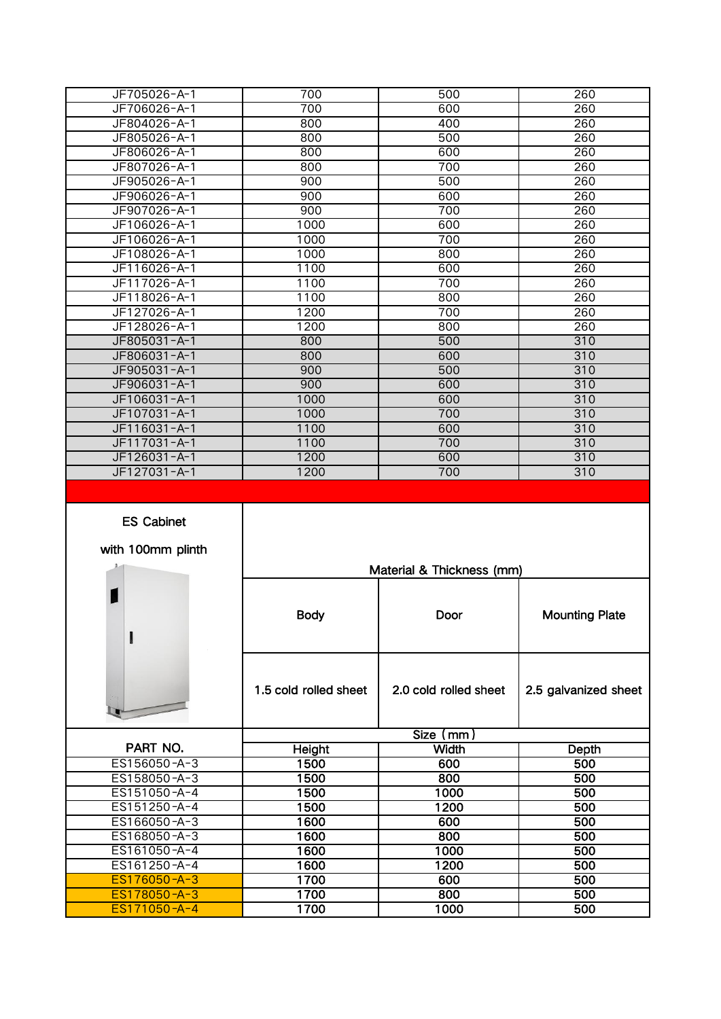| JF705026-A-1 | 700  | 500 | 260 |
|--------------|------|-----|-----|
| JF706026-A-1 | 700  | 600 | 260 |
| JF804026-A-1 | 800  | 400 | 260 |
| JF805026-A-1 | 800  | 500 | 260 |
| JF806026-A-1 | 800  | 600 | 260 |
| JF807026-A-1 | 800  | 700 | 260 |
| JF905026-A-1 | 900  | 500 | 260 |
| JF906026-A-1 | 900  | 600 | 260 |
| JF907026-A-1 | 900  | 700 | 260 |
| JF106026-A-1 | 1000 | 600 | 260 |
| JF106026-A-1 | 1000 | 700 | 260 |
| JF108026-A-1 | 1000 | 800 | 260 |
| JF116026-A-1 | 1100 | 600 | 260 |
| JF117026-A-1 | 1100 | 700 | 260 |
| JF118026-A-1 | 1100 | 800 | 260 |
| JF127026-A-1 | 1200 | 700 | 260 |
| JF128026-A-1 | 1200 | 800 | 260 |
| JF805031-A-1 | 800  | 500 | 310 |
| JF806031-A-1 | 800  | 600 | 310 |
| JF905031-A-1 | 900  | 500 | 310 |
| JF906031-A-1 | 900  | 600 | 310 |
| JF106031-A-1 | 1000 | 600 | 310 |
| JF107031-A-1 | 1000 | 700 | 310 |
| JF116031-A-1 | 1100 | 600 | 310 |
| JF117031-A-1 | 1100 | 700 | 310 |
| JF126031-A-1 | 1200 | 600 | 310 |
| JF127031-A-1 | 1200 | 700 | 310 |

## ES Cabinet with 100mm plinth

|              |                       | Material & Thickness (mm) |                       |
|--------------|-----------------------|---------------------------|-----------------------|
| I            | <b>Body</b>           | <b>Door</b>               | <b>Mounting Plate</b> |
|              | 1.5 cold rolled sheet | 2.0 cold rolled sheet     | 2.5 galvanized sheet  |
|              |                       | Size (mm)                 |                       |
| PART NO.     | <b>Height</b>         | <b>Width</b>              | Depth                 |
| ES156050-A-3 | 1500                  | 600                       | 500                   |
| ES158050-A-3 | 1500                  | 800                       | 500                   |
| ES151050-A-4 | 1500                  | 1000                      | 500                   |
| ES151250-A-4 | 1500                  | 1200                      | 500                   |
| ES166050-A-3 | 1600                  | 600                       | 500                   |
| ES168050-A-3 | 1600                  | 800                       | 500                   |
| ES161050-A-4 | 1600                  | 1000                      | 500                   |
| ES161250-A-4 | 1600                  | 1200                      | 500                   |
| ES176050-A-3 | 1700                  | 600                       | 500                   |
| ES178050-A-3 | 1700                  | 800                       | 500                   |
| ES171050-A-4 | 1700                  | 1000                      | 500                   |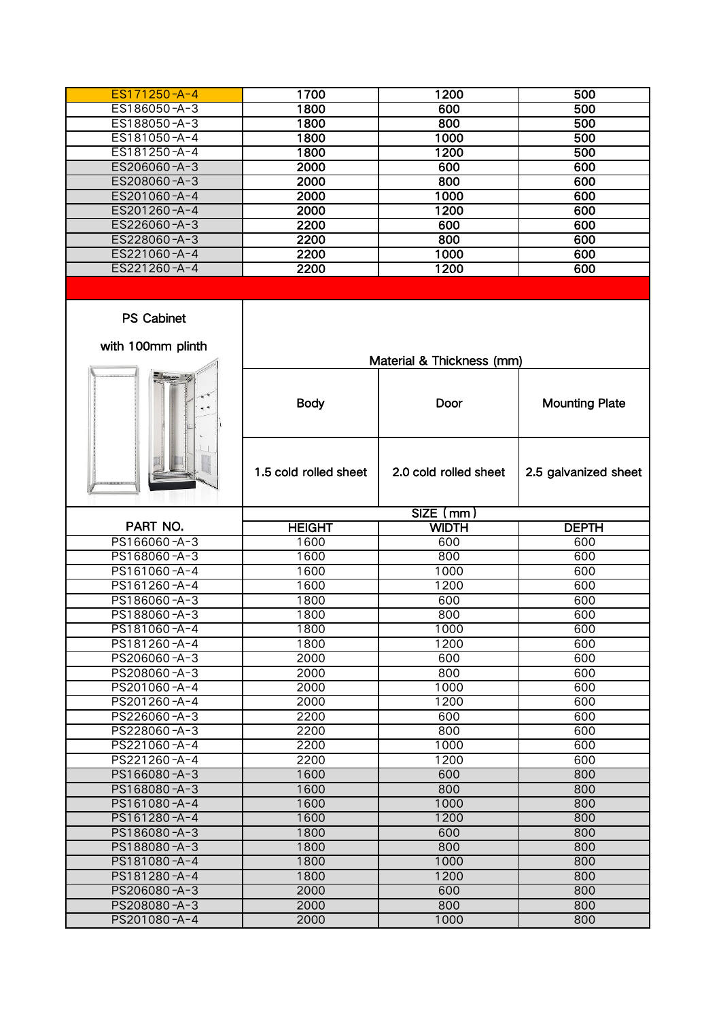| ES171250-A-4 | 1700 | 1200 | 500 |  |
|--------------|------|------|-----|--|
| ES186050-A-3 | 1800 | 600  | 500 |  |
| ES188050-A-3 | 1800 | 800  | 500 |  |
| ES181050-A-4 | 1800 | 1000 | 500 |  |
| ES181250-A-4 | 1800 | 1200 | 500 |  |
| ES206060-A-3 | 2000 | 600  | 600 |  |
| ES208060-A-3 | 2000 | 800  | 600 |  |
| ES201060-A-4 | 2000 | 1000 | 600 |  |
| ES201260-A-4 | 2000 | 1200 | 600 |  |
| ES226060-A-3 | 2200 | 600  | 600 |  |
| ES228060-A-3 | 2200 | 800  | 600 |  |
| ES221060-A-4 | 2200 | 1000 | 600 |  |
| ES221260-A-4 | 2200 | 1200 | 600 |  |

Material & Thickness (mm)

## PS Cabinet with 100mm plinth

| <b>BREEZE</b><br>                                   |         |                 |        |  |
|-----------------------------------------------------|---------|-----------------|--------|--|
|                                                     |         |                 |        |  |
|                                                     |         |                 | Ē<br>E |  |
| i                                                   | ٠       |                 | <br>į  |  |
| î                                                   | <b></b> |                 |        |  |
| 2222222<br>×<br>ı<br>v<br><br>٠<br>٠<br>٠<br>٠<br>٠ |         | <b>STARRIAN</b> |        |  |

|              | <b>Body</b>           | Door                   | <b>Mounting Plate</b> |
|--------------|-----------------------|------------------------|-----------------------|
|              | 1.5 cold rolled sheet | 2.0 cold rolled sheet  | 2.5 galvanized sheet  |
|              |                       | $\overline{SIZE}$ (mm) |                       |
| PART NO.     | <b>HEIGHT</b>         | <b>WIDTH</b>           | <b>DEPTH</b>          |
| PS166060-A-3 | 1600                  | 600                    | 600                   |
| PS168060-A-3 | 1600                  | 800                    | 600                   |
| PS161060-A-4 | 1600                  | 1000                   | 600                   |
| PS161260-A-4 | 1600                  | 1200                   | 600                   |
| PS186060-A-3 | 1800                  | 600                    | 600                   |
| PS188060-A-3 | 1800                  | 800                    | 600                   |
| PS181060-A-4 | 1800                  | 1000                   | 600                   |
| PS181260-A-4 | 1800                  | 1200                   | 600                   |
| PS206060-A-3 | 2000                  | 600                    | 600                   |
| PS208060-A-3 | 2000                  | 800                    | 600                   |
| PS201060-A-4 | 2000                  | 1000                   | 600                   |
| PS201260-A-4 | 2000                  | 1200                   | 600                   |
| PS226060-A-3 | 2200                  | 600                    | 600                   |
| PS228060-A-3 | 2200                  | 800                    | 600                   |
| PS221060-A-4 | 2200                  | 1000                   | 600                   |
| PS221260-A-4 | 2200                  | 1200                   | 600                   |
| PS166080-A-3 | 1600                  | 600                    | 800                   |
| PS168080-A-3 | 1600                  | 800                    | 800                   |
| PS161080-A-4 | 1600                  | 1000                   | 800                   |
| PS161280-A-4 | 1600                  | 1200                   | 800                   |
| PS186080-A-3 | 1800                  | 600                    | 800                   |
| PS188080-A-3 | 1800                  | 800                    | 800                   |
| PS181080-A-4 | 1800                  | 1000                   | 800                   |
| PS181280-A-4 | 1800                  | 1200                   | 800                   |
| PS206080-A-3 | 2000                  | 600                    | 800                   |

PS208080 -A-3 2000 800 800 800<br>PS201080 -A-4 2000 1000 800 PS201080 -A-4 2000 1000 1000 800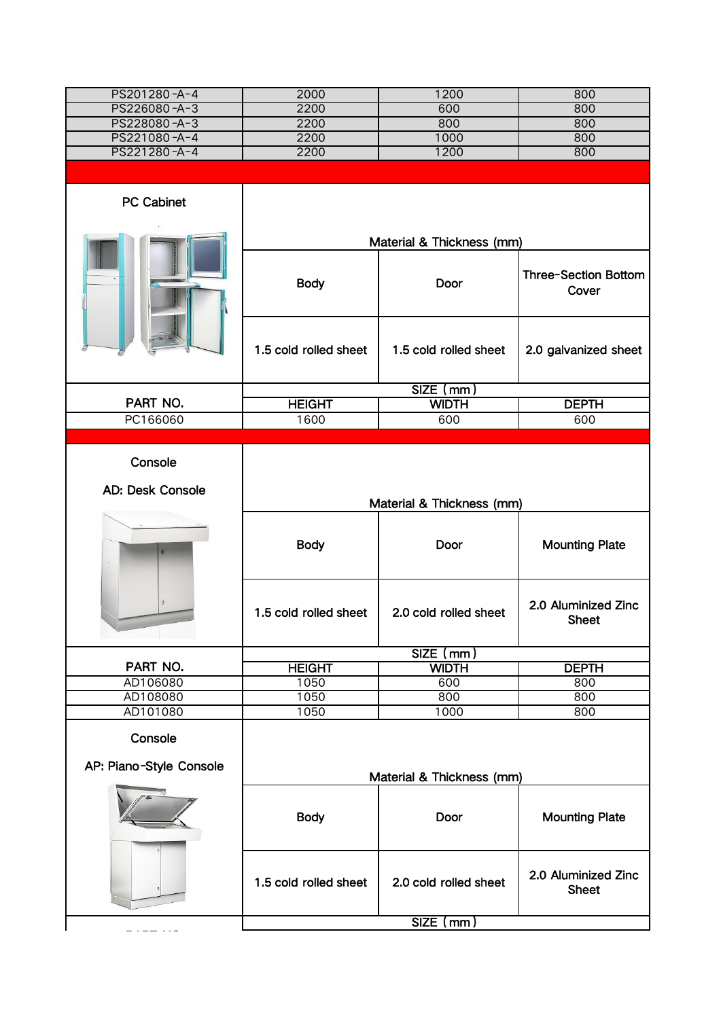| PS201280-A-4            | 2000                      | 1200                              | 800                                 |
|-------------------------|---------------------------|-----------------------------------|-------------------------------------|
| PS226080-A-3            | 2200                      | 600                               | 800                                 |
| PS228080-A-3            | 2200                      | 800                               | 800                                 |
| PS221080-A-4            | 2200                      | 1000                              | 800                                 |
| PS221280-A-4            | 2200                      | 1200                              | 800                                 |
|                         |                           |                                   |                                     |
| PC Cabinet              |                           |                                   |                                     |
|                         |                           | Material & Thickness (mm)         |                                     |
|                         | <b>Body</b>               | Door                              | Three-Section Bottom<br>Cover       |
|                         | 1.5 cold rolled sheet     | 1.5 cold rolled sheet             | 2.0 galvanized sheet                |
|                         |                           | $SIZE$ (mm)                       |                                     |
| PART NO.                | <b>HEIGHT</b>             | <b>WIDTH</b>                      | <b>DEPTH</b>                        |
| PC166060                | 1600                      | 600                               | 600                                 |
|                         |                           |                                   |                                     |
| Console                 |                           |                                   |                                     |
| AD: Desk Console        |                           |                                   |                                     |
|                         | Material & Thickness (mm) |                                   |                                     |
|                         | <b>Body</b>               | Door                              | <b>Mounting Plate</b>               |
|                         |                           |                                   |                                     |
|                         | 1.5 cold rolled sheet     | 2.0 cold rolled sheet             | 2.0 Aluminized Zinc<br>Sheet        |
|                         |                           | $SIZE$ (mm)                       |                                     |
| PART NO.                | <b>HEIGHT</b>             | <b>WIDTH</b>                      | <b>DEPTH</b>                        |
| AD106080                | 1050                      | 600                               | 800                                 |
| AD108080                | 1050                      | 800                               | 800                                 |
| AD101080                | 1050                      | 1000                              | 800                                 |
| Console                 |                           |                                   |                                     |
| AP: Piano-Style Console |                           |                                   |                                     |
|                         | <b>Body</b>               | Material & Thickness (mm)<br>Door | <b>Mounting Plate</b>               |
|                         | 1.5 cold rolled sheet     | 2.0 cold rolled sheet             | 2.0 Aluminized Zinc<br><b>Sheet</b> |